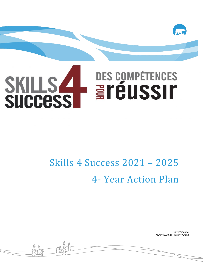

# Skills 4 Success 2021 – 2025 4- Year Action Plan

Government of Northwest Territories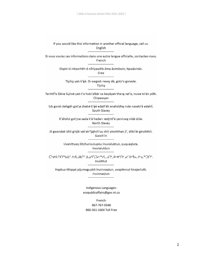If you would like this information in another official language, call us. English

Si vous voulez ces informations dans une autre langue officielle, contactez-nous. French

> Kīspin ki nitawihtīn ē nīhīyawihk ōma ācimōwin, tipwāsinān. Cree

Tłįchę yatı k'èè. Di wegodi newę dè, gots'o gonede. Tłįcho

Perihtřís Dëne Sųłiné yati t'a huts'elkër xa beyáyati theoa pat'e, nuwe ts'ën yółti. Chipewyan

Edi gondi dehgáh got'je zhatié k'éé edati'éh enahddhę nide naxets'é edahií. South Slavey

K'áhshó got'ıne xada k'é hederi pedihtl'é yeriniwę nídé dúle. North Slavey

Jii gwandak izhii ginjìk vat'atr'ijąhch'uu zhit yinohthan jì', diits'àt ginohkhìi. Gwich'in

> Uvanittuaq ilitchurisukupku Inuvialuktun, ququaqluta. Inuvialuktun

Inuktitut

Hapkua titiqqat pijumagupkit Inuinnaqtun, uvaptinnut hivajarlutit. Inuinnagtun

> Indigenous Languages: ecepublicaffairs@gov.nt.ca

French: 867-767-9348 866-561-1664 Toll Free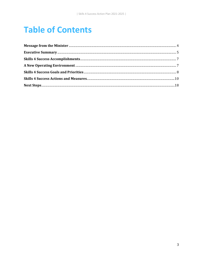### <span id="page-2-0"></span>**Table of Contents**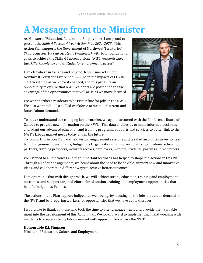### **A Message from the Minister**

As Minister of Education, Culture and Employment, I am proud to present the *Skills 4 Success 4-Year Action Plan 2021-2025*. This Action Plan supports the Government of Northwest Territories' *Skills 4 Success 10-Year Strategic Framework* with four foundational goals to achieve the Skills 4 Success vision: "*NWT residents have the skills, knowledge and attitudes for employment success*".

Like elsewhere in Canada and beyond, labour markets in the Northwest Territories were not immune to the impacts of COVID-19. Everything as we knew it changed, and this presents an opportunity to ensure that NWT residents are positioned to take advantage of the opportunities that will arise as we move forward.

We want northern residents to be first in line for jobs in the NWT. We also want to build a skilled workforce to meet our current and future labour demand.



To better understand our changing labour market, we again partnered with the Conference Board of Canada to provide new information on the NWT. This data enables us to make informed decisions and adapt our advanced education and training programs, supports and services to better link to the NWT's labour market needs today and in the future.

To inform this Action Plan, we held virtual engagement sessions and created an online survey to hear from Indigenous Governments, Indigenous Organizations, non-government organizations, education partners, training providers, industry sectors, employers, workers, students, parents and volunteers.

We listened to all the voices and that important feedback has helped to shape the actions in this Plan. Through all of our engagements, we heard about the need to be flexible, support new and innovative ideas, and collaborate in different ways to achieve better outcomes.

I am optimistic that with this approach, we will achieve strong education, training and employment outcomes, and support targeted efforts for education, training and employment opportunities that benefit Indigenous Peoples.

The actions in this Plan support Indigenous well-being, by focusing on the jobs that are in demand in the NWT, and by preparing workers for opportunities that we have yet to discover.

I would like to thank all those who took the time to attend engagements and provide their valuable input into the development of this Action Plan. We look forward to implementing it and working with residents to create a strong labour market with opportunities across the NWT.

#### **Honourable R.J. Simpson**

Minister of Education, Culture and Employment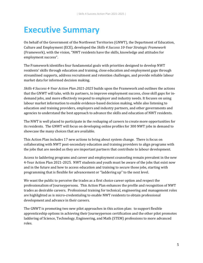### <span id="page-4-0"></span>**Executive Summary**

On behalf of the Government of the Northwest Territories (GNWT), the Department of Education, Culture and Employment (ECE), developed the *Skills 4 Success 10-Year Strategic Framework* (Framework), with the vision, "NWT residents have the skills, knowledge and attitudes for employment success".

The Framework identifies four fundamental goals with priorities designed to develop NWT residents' skills through education and training, close education and employment gaps through streamlined supports, address recruitment and retention challenges, and provide reliable labour market data for informed decision making.

*Skills 4 Success 4-Year Action Plan 2021-2025* builds upon the Framework and outlines the actions that the GNWT will take, with its partners, to improve employment success, close skill gaps for indemand jobs, and more effectively respond to employer and industry needs. It focuses on using labour market information to enable evidence-based decision making, while also listening to education and training providers, employers and industry partners, and other governments and agencies to understand the best approach to advance the skills and education of NWT residents.

The NWT is well placed to participate in the reshaping of careers to create more opportunities for its residents. The GNWT will focus on developing online profiles for 300 NWT jobs in demand to showcase the many choices that are available.

This Action Plan includes 17 new actions to bring about system change. There is focus on collaborating with NWT post-secondary education and training providers to align programs with the jobs that are needed as they are important partners that contribute to labour development.

Access to laddering programs and career and employment counseling remain prevalent in the new 4-Year Action Plan 2021-2025. NWT students and youth must be aware of the jobs that exist now and in the future and how to access education and training to secure those jobs, starting with programming that is flexible for advancement or "laddering up" to the next level.

We want the public to perceive the trades as a first choice career option and respect the professionalism of Journeypersons. This Action Plan enhances the profile and recognition of NWT trades as desirable careers. Professional training for technical, engineering and management roles are highlighted as is micro-credentialing to enable NWT residents to obtain professional development and advance in their careers.

The GNWT is promoting two new pilot approaches in this action plan: to support flexible apprenticeship options in achieving their Journeyperson certification and the other pilot promotes laddering of Science, Technology, Engineering, and Math (STEM) professions to more advanced roles.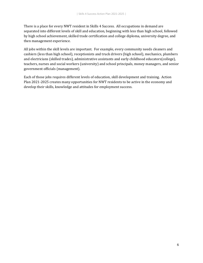There is a place for every NWT resident in Skills 4 Success. All occupations in demand are separated into different levels of skill and education, beginning with less than high school, followed by high school achievement, skilled trade certification and college diploma, university degree, and then management experience.

All jobs within the skill levels are important. For example, every community needs cleaners and cashiers (less than high school), receptionists and truck drivers (high school), mechanics, plumbers and electricians (skilled trades), administrative assistants and early childhood educators(college), teachers, nurses and social workers (university) and school principals, money managers, and senior government officials (management).

Each of those jobs requires different levels of education, skill development and training. Action Plan 2021-2025 creates many opportunities for NWT residents to be active in the economy and develop their skills, knowledge and attitudes for employment success.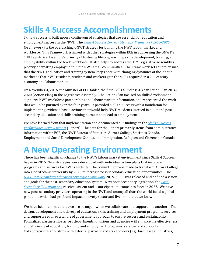### <span id="page-6-0"></span>**Skills 4 Success Accomplishments**

Skills 4 Success is built upon a continuum of strategies that are essential for education and employment success in the NWT. The *[Skills 4 Success 10-Year Strategic Framework 2015-2025](https://www.ece.gov.nt.ca/sites/ece/files/resources/skills_4_success_-_10-year_strategic_framework.pdf)* (Framework) is the overarching GNWT strategy for building the NWT labour market and workforce. This Framework is linked with other strategies within ECE in addressing the GNWT's 18<sup>th</sup> Legislative Assembly's priority of fostering lifelong learning, skills development, training, and employability within the NWT workforce. It also helps to address the 19th Legislative Assembly's priority of creating employment in the NWT small communities. The Framework sets out to ensure that the NWT's education and training system keeps pace with changing dynamics of the labour market so that NWT residents, students and workers gain the skills required in a  $21$ <sup>st</sup> century economy and labour market.

On November 4, 2016, the Minister of ECE tabled the first Skills 4 Success 4-Year Action Plan 2016- 2020 (Action Plan) in the Legislative Assembly. The Action Plan focused on skills development, supports, NWT workforce partnerships and labour market information, and represented the work that would be pursued over the four years. It provided Skills 4 Success with a foundation for implementing evidence-based actions that would help NWT residents succeed in adult and postsecondary education and skills training pursuits that lead to employment.

We have learned from that implementation and documented our findings in the *[Skills 4 Success](https://www.ece.gov.nt.ca/en/content/skills-4-success-2016-2020-performance-review-report-rapport-devaluation-de-rendement-de)  [Performance Review Report](https://www.ece.gov.nt.ca/en/content/skills-4-success-2016-2020-performance-review-report-rapport-devaluation-de-rendement-de)* (Report). The data for the Report primarily stems from administrative information within ECE, the NWT Bureau of Statistics, Aurora College, Statistics Canada, Employment and Social Development Canada, and Immigration, Refugees and Citizenship Canada.

### <span id="page-6-1"></span>**A New Operating Environment**

There has been significant change to the NWT's labour market environment since Skills 4 Success began in 2015. New strategies were developed with individual action plans that improved programs and services for NWT residents. The commitment was made to transform Aurora College into a polytechnic university by 2025 to increase post-secondary education opportunities. The *[NWT Post-Secondary Education Strategic Framework](https://www.ece.gov.nt.ca/en/content/nwt-post-secondary-education-strategic-framework-2019-2020)* 2019-2029 was released and defined a vision and goals for the post-secondary education system. New post-secondary legislation, the *[Post-](https://www.ntassembly.ca/sites/assembly/files/reprint_-_bill_48_-_post-secondary_education_act.pdf)[Secondary Education Act](https://www.ntassembly.ca/sites/assembly/files/reprint_-_bill_48_-_post-secondary_education_act.pdf)* received assent and is anticipated to come into force in 2022. We have new post-secondary providers operating in the NWT and among all that; the world faced a global pandemic which had profound impact on every sector and livelihood that we know.

We have been reminded that we are stronger when we collaborate and support one another. The design, development and delivery of education, skills training and employment programs, services and supports requires a whole of government approach to ensure success and sustainability. Formalized partnerships across departments, divisions and agencies will enhance the effectiveness and efficiency of education, training and employment programs, services and supports. Collaborative relationships with external partners and stakeholders (e.g., businesses, industries,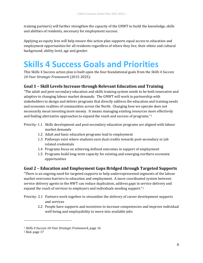training partners) will further strengthen the capacity of the GNWT to build the knowledge, skills and abilities of residents, necessary for employment success.

Applying an equity lens will help ensure this action plan supports equal access to education and employment opportunities for all residents regardless of where they live, their ethnic and cultural background, ability level, age and gender.

### <span id="page-7-0"></span>**Skills 4 Success Goals and Priorities**

This Skills 4 Success action plan is built upon the four foundational goals from the *Skills 4 Success 10-Year Strategic Framework* (2015-2025):

#### **Goal 1 – Skill Levels Increase through Relevant Education and Training**

"The adult and post-secondary education and skills training system needs to be both innovative and adaptive to changing labour market demands. The GNWT will work in partnership with stakeholders to design and deliver programs that directly address the education and training needs and economic realities of communities across the North. Changing how we operate does not necessarily mean investing more money. It means managing existing resources more effectively and finding alternative approaches to expand the reach and success of programs."[1](#page-7-1)

Priority: 1.1 Skills development and post-secondary education programs are aligned with labour market demands

- 1.2 Adult and basic education programs lead to employment
- 1.3 Pathways exist where students earn dual credits towards post-secondary or job related credentials
- 1.4 Programs focus on achieving defined outcomes in support of employment
- 1.5 Programs build long-term capacity for existing and emerging northern economic opportunities

#### **Goal 2 – Education and Employment Gaps Bridged through Targeted Supports**

"There is an ongoing need for targeted supports to help underrepresented segments of the labour market overcome barriers to education and employment. A more coordinated system between service delivery agents in the NWT can reduce duplication, address gaps in service delivery and expand the reach of services to employers and individuals needing support."[2](#page-7-2)

- Priority: 2.1 Partners work together to streamline the delivery of career development supports and services
	- 2.2 People have supports and incentives to increase competencies and improve individual well-being and employability to move into available jobs

j

<span id="page-7-1"></span><sup>1</sup> *Skills 4 Success 10-Year Strategic Framework*, page 16

<span id="page-7-2"></span><sup>2</sup> Ibid. page 17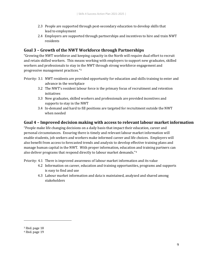- 2.3 People are supported through post-secondary education to develop skills that lead to employment
- 2.4 Employers are supported through partnerships and incentives to hire and train NWT residents

#### **Goal 3 – Growth of the NWT Workforce through Partnerships**

"Growing the NWT workforce and keeping capacity in the North will require dual effort to recruit and retain skilled workers. This means working with employers to support new graduates, skilled workers and professionals to stay in the NWT through strong workforce engagement and progressive management practices."[3](#page-8-0)

- Priority: 3.1 NWT residents are provided opportunity for education and skills training to enter and advance in the workplace
	- 3.2 The NWT's resident labour force is the primary focus of recruitment and retention initiatives
	- 3.3 New graduates, skilled workers and professionals are provided incentives and supports to stay in the NWT
	- 3.4 In-demand and hard to fill positions are targeted for recruitment outside the NWT when needed

#### **Goal 4 – Improved decision making with access to relevant labour market information**

"People make life changing decisions on a daily basis that impact their education, career and personal circumstances. Ensuring there is timely and relevant labour market information will enable students, job seekers and workers make informed career and life choices. Employers will also benefit from access to forecasted trends and analysis to develop effective training plans and manage human capital in the NWT. With proper information, education and training partners can also deliver programs that respond directly to labour market demands."[4](#page-8-1)

Priority: 4.1 There is improved awareness of labour market information and its value

- 4.2 Information on career, education and training opportunities, programs and supports is easy to find and use
- 4.3 Labour market information and data is maintained, analyzed and shared among stakeholders

j

<span id="page-8-0"></span><sup>3</sup> Ibid. page 18

<span id="page-8-1"></span><sup>4</sup> Ibid. page 19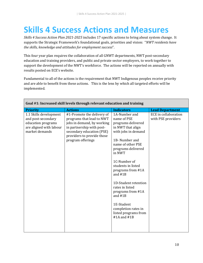### <span id="page-9-0"></span>**Skills 4 Success Actions and Measures**

*Skills 4 Success Action Plan 2021-2025* includes 17 specific actions to bring about system change. It supports the Strategic Framework's foundational goals, priorities and vision: "*NWT residents have the skills, knowledge and attitudes for employment success*".

This four year plan requires the collaboration of all GNWT departments, NWT post-secondary education and training providers, and public and private sector employers, to work together to support the development of the NWT's workforce. The actions will be reported on annually with results posted on ECE's website.

Fundamental to all of the actions is the requirement that NWT Indigenous peoples receive priority and are able to benefit from these actions. This is the lens by which all targeted efforts will be implemented.

| Goal #1: Increased skill levels through relevant education and training                                         |                                                                                                                                                                                                    |                                                                                                                                                                                                                                                                                                                                                                                                         |                                                   |
|-----------------------------------------------------------------------------------------------------------------|----------------------------------------------------------------------------------------------------------------------------------------------------------------------------------------------------|---------------------------------------------------------------------------------------------------------------------------------------------------------------------------------------------------------------------------------------------------------------------------------------------------------------------------------------------------------------------------------------------------------|---------------------------------------------------|
| <b>Priority</b>                                                                                                 | <b>Actions</b>                                                                                                                                                                                     | <b>Indicators</b>                                                                                                                                                                                                                                                                                                                                                                                       | <b>Lead Department</b>                            |
| 1.1 Skills development<br>and post-secondary<br>education programs<br>are aligned with labour<br>market demands | #1-Promote the delivery of<br>programs that lead to NWT<br>jobs in demand, by working<br>in partnership with post-<br>secondary education (PSE)<br>providers to provide those<br>program offerings | 1A-Number and<br>name of PSE<br>programs delivered<br>in NWT that align<br>with jobs in demand<br>1B-Number and<br>name of other PSE<br>programs delivered<br>in NWT<br>1C-Number of<br>students in listed<br>programs from #1A<br>and $#1B$<br>1D-Student retention<br>rates in listed<br>programs from #1A<br>and $#1B$<br>1E-Student<br>completion rates in<br>listed programs from<br>#1A and $#1B$ | <b>ECE</b> in collaboration<br>with PSE providers |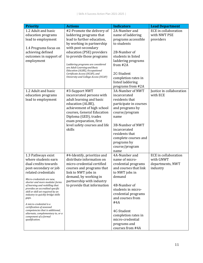| <b>Priority</b>                                                       | <b>Actions</b>                                                         | <b>Indicators</b>                     | <b>Lead Department</b>      |
|-----------------------------------------------------------------------|------------------------------------------------------------------------|---------------------------------------|-----------------------------|
| 1.2 Adult and basic                                                   | #2-Promote the delivery of                                             | 2A-Number and                         | <b>ECE</b> in collaboration |
| education programs                                                    | laddering programs that                                                | name of laddering                     | with NWT PSE                |
| lead to employment                                                    | lead to further education,                                             | programs accessible                   | providers                   |
|                                                                       | by working in partnership<br>with post-secondary                       | to students                           |                             |
| 1.4 Programs focus on<br>achieving defined                            | education (PSE) providers                                              | 2B-Number of                          |                             |
| outcomes in support of                                                | to provide those programs                                              | students in listed                    |                             |
| employment                                                            |                                                                        | laddering programs                    |                             |
|                                                                       | Laddering programs are considered<br>are Adult Learning and Basic      | from #2A                              |                             |
|                                                                       | Education (ALBE), Occupational                                         |                                       |                             |
|                                                                       | Certificate Access (OCAP), and<br>University and College Access (UCAP) | 2C-Student                            |                             |
|                                                                       |                                                                        | completion rates in                   |                             |
|                                                                       |                                                                        | listed laddering<br>programs from #2A |                             |
| 1.2 Adult and basic                                                   | #3-Support NWT                                                         | 3A-Number of NWT                      | Justice in collaboration    |
| education programs                                                    | incarcerated persons with                                              | incarcerated                          | with ECE                    |
| lead to employment                                                    | adult learning and basic                                               | residents that                        |                             |
|                                                                       | education (ALBE),                                                      | participate in courses                |                             |
|                                                                       | achievement of high school                                             | and programs by                       |                             |
|                                                                       | courses, General Education                                             | course/program                        |                             |
|                                                                       | Diploma (GED), trades<br>exam preparation, first                       | name                                  |                             |
|                                                                       | level safety courses and life                                          | 3B-Number of NWT                      |                             |
|                                                                       | skills                                                                 | incarcerated                          |                             |
|                                                                       |                                                                        | residents that                        |                             |
|                                                                       |                                                                        | complete courses and                  |                             |
|                                                                       |                                                                        | programs by                           |                             |
|                                                                       |                                                                        | course/program                        |                             |
| 1.3 Pathways exist                                                    | #4-Identify, prioritize and                                            | name<br>4A-Number and                 | <b>ECE</b> in collaboration |
| where students earn                                                   | distribute information on                                              | name of micro-                        | with GNWT                   |
| dual credits towards                                                  | micro-credential certified                                             | credential programs                   | departments, NWT            |
| post-secondary or job                                                 | courses and programs that                                              | and courses that link                 | industry                    |
| related credentials                                                   | link to NWT jobs in                                                    | to NWT jobs in                        |                             |
| Micro-credentials are new,                                            | demand, by working in                                                  | demand                                |                             |
| shorter and more modular forms                                        | partnership with industry                                              | 4B-Number of                          |                             |
| of learning and reskilling that<br>provides an accredited specific    | to provide that information                                            | students in micro-                    |                             |
| skill or skill set required by an                                     |                                                                        | credential programs                   |                             |
| industry to quickly bridge skills<br>gaps.                            |                                                                        | and courses from                      |                             |
| A micro-credential is a                                               |                                                                        | #4A                                   |                             |
| certification of assessed                                             |                                                                        |                                       |                             |
| competencies that is additional,<br>alternate, complementary to, or a |                                                                        | 4C-Student                            |                             |
| component of a formal                                                 |                                                                        | completion rates in                   |                             |
| qualification.                                                        |                                                                        | micro-credential                      |                             |
|                                                                       |                                                                        |                                       |                             |
|                                                                       |                                                                        | programs and<br>courses from #4A      |                             |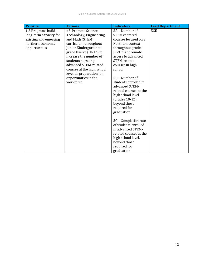| <b>Priority</b>        | <b>Actions</b>                    | <b>Indicators</b>                      | <b>Lead Department</b> |
|------------------------|-----------------------------------|----------------------------------------|------------------------|
| 1.5 Programs build     | #5-Promote Science,               | 5A - Number of                         | ECE                    |
| long-term capacity for | Technology, Engineering,          | <b>STEM</b> centered                   |                        |
| existing and emerging  | and Math (STEM)                   | courses focused on a                   |                        |
| northern economic      | curriculum throughout             | Northern context                       |                        |
| opportunities          | Junior Kindergarten to            | throughout grades                      |                        |
|                        | grade twelve (JK-12) to           | JK-9, that promote                     |                        |
|                        | increase the number of            | access to advanced                     |                        |
|                        | students pursuing                 | STEM-related                           |                        |
|                        | advanced STEM-related             | courses in high                        |                        |
|                        | courses at the high school        | school                                 |                        |
|                        | level, in preparation for         |                                        |                        |
|                        | opportunities in the<br>workforce | 5B - Number of<br>students enrolled in |                        |
|                        |                                   | advanced STEM-                         |                        |
|                        |                                   | related courses at the                 |                        |
|                        |                                   | high school level                      |                        |
|                        |                                   | (grades 10-12),                        |                        |
|                        |                                   | beyond those                           |                        |
|                        |                                   | required for                           |                        |
|                        |                                   | graduation                             |                        |
|                        |                                   |                                        |                        |
|                        |                                   | 5C - Completion rate                   |                        |
|                        |                                   | of students enrolled                   |                        |
|                        |                                   | in advanced STEM-                      |                        |
|                        |                                   | related courses at the                 |                        |
|                        |                                   | high school level,                     |                        |
|                        |                                   | beyond those                           |                        |
|                        |                                   | required for                           |                        |
|                        |                                   | graduation                             |                        |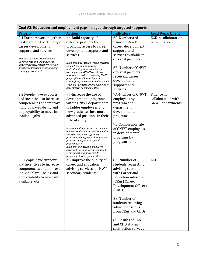|                                                                                                             | Goar #2: Education and employment gaps bridged through targeted supports                                                                                                                                                                                                                                       |                                                                                                       |                                             |
|-------------------------------------------------------------------------------------------------------------|----------------------------------------------------------------------------------------------------------------------------------------------------------------------------------------------------------------------------------------------------------------------------------------------------------------|-------------------------------------------------------------------------------------------------------|---------------------------------------------|
| <b>Priority</b>                                                                                             | <b>Actions</b>                                                                                                                                                                                                                                                                                                 | <b>Indicators</b>                                                                                     | <b>Lead Department</b>                      |
| 2.1 Partners work together<br>to streamline the delivery of                                                 | #6-Build capacity of<br>external partners by                                                                                                                                                                                                                                                                   | 6A-Number and<br>name of GNWT                                                                         | <b>ECE</b> in collaboration<br>with Finance |
| career development<br>supports and services                                                                 | providing access to career<br>development supports and                                                                                                                                                                                                                                                         | career development<br>supports and                                                                    |                                             |
| External partners are Indigenous<br>Governments and Organizations,<br>industry leaders, employers, not-for- | services<br>Examples may include: resume writing                                                                                                                                                                                                                                                               | services available to<br>external partners                                                            |                                             |
| profit organizations, education and<br>training providers, etc.                                             | support, mock interviewing,<br>understanding competencies, and<br>learning about GNWT recruitment<br>initiatives as well as discussing NWT<br>Job profiles and Jobs in Demand.<br>Career fairs, symposiums and Regional<br>Training Partnerships are examples of<br>how this will be implemented.              | 6B-Number of GNWT<br>external partners<br>receiving career<br>development<br>supports and<br>services |                                             |
| 2.2 People have supports<br>and incentives to increase                                                      | #7-Increase the use of<br>developmental programs                                                                                                                                                                                                                                                               | 7A-Number of GNWT<br>employees by                                                                     | Finance in<br>collaboration with            |
| competencies and improve                                                                                    | within GNWT departments                                                                                                                                                                                                                                                                                        | program and                                                                                           | <b>GNWT</b> departments                     |
| individual well-being and<br>employability to move into                                                     | to ladder employees and<br>new graduates into more                                                                                                                                                                                                                                                             | department in<br>developmental                                                                        |                                             |
| available jobs                                                                                              | advanced positions in their                                                                                                                                                                                                                                                                                    | programs                                                                                              |                                             |
|                                                                                                             | field of study                                                                                                                                                                                                                                                                                                 | 7B-Completion rate                                                                                    |                                             |
|                                                                                                             | Developmental programs may include<br>but are not limited to: developmental<br>transfer assignments, gateway<br>programs, management development<br>program, Indigenous targeted<br>programs, etc.<br>Example: engineering graduates<br>advance from engineer-in-training to<br>Professional Engineer, then to | of GNWT employees<br>in developmental<br>programs by<br>program name                                  |                                             |
| 2.2 People have supports                                                                                    | permanent hire as junior officer<br>#8-Improve the quality of                                                                                                                                                                                                                                                  | 8A-Number of                                                                                          | <b>ECE</b>                                  |
| and incentives to increase                                                                                  | career and education                                                                                                                                                                                                                                                                                           | students requesting                                                                                   |                                             |
| competencies and improve<br>individual well-being and                                                       | advising services for NWT<br>secondary students                                                                                                                                                                                                                                                                | advising sessions<br>with Career and                                                                  |                                             |
| employability to move into                                                                                  |                                                                                                                                                                                                                                                                                                                | <b>Education Advisors</b>                                                                             |                                             |
| available jobs                                                                                              |                                                                                                                                                                                                                                                                                                                | (CEAs) Career                                                                                         |                                             |
|                                                                                                             |                                                                                                                                                                                                                                                                                                                | Development Officers<br>(CDOS)                                                                        |                                             |
|                                                                                                             |                                                                                                                                                                                                                                                                                                                | 8B-Number of                                                                                          |                                             |
|                                                                                                             |                                                                                                                                                                                                                                                                                                                | students receiving                                                                                    |                                             |
|                                                                                                             |                                                                                                                                                                                                                                                                                                                | advising sessions<br>from CEAs and CDOs                                                               |                                             |
|                                                                                                             |                                                                                                                                                                                                                                                                                                                | 8C-Results of CEA                                                                                     |                                             |
|                                                                                                             |                                                                                                                                                                                                                                                                                                                | and CDO student                                                                                       |                                             |
|                                                                                                             |                                                                                                                                                                                                                                                                                                                | satisfaction surveys                                                                                  |                                             |

### **Goal #2: Education and employment gaps bridged through targeted supports**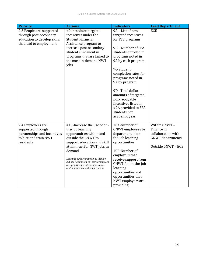| <b>Priority</b>             | <b>Actions</b>                                                         | <b>Indicators</b>                       | <b>Lead Department</b>  |
|-----------------------------|------------------------------------------------------------------------|-----------------------------------------|-------------------------|
| 2.3 People are supported    | #9 Introduce targeted                                                  | 9A - List of new                        | <b>ECE</b>              |
| through post-secondary      | incentives under the                                                   | targeted incentives                     |                         |
| education to develop skills | <b>Student Financial</b>                                               | for PSE programs                        |                         |
| that lead to employment     | Assistance program to                                                  |                                         |                         |
|                             | increase post-secondary                                                | 9B - Number of SFA                      |                         |
|                             | student enrolment in                                                   | students enrolled in                    |                         |
|                             | programs that are linked to<br>the most in-demand NWT                  | programs noted in<br>9A by each program |                         |
|                             | jobs                                                                   |                                         |                         |
|                             |                                                                        | 9C-Student                              |                         |
|                             |                                                                        | completion rates for                    |                         |
|                             |                                                                        | programs noted in                       |                         |
|                             |                                                                        | 9A by program                           |                         |
|                             |                                                                        |                                         |                         |
|                             |                                                                        | 9D-Total dollar                         |                         |
|                             |                                                                        | amounts of targeted                     |                         |
|                             |                                                                        | non-repayable<br>incentives listed in   |                         |
|                             |                                                                        | #9A provided to SFA                     |                         |
|                             |                                                                        | students per                            |                         |
|                             |                                                                        | academic year                           |                         |
|                             |                                                                        |                                         |                         |
| 2.4 Employers are           | #10-Increase the use of on-                                            | 10A-Number of                           | Within GNWT-            |
| supported through           | the-job learning                                                       | GNWT employees by                       | Finance in              |
| partnerships and incentives | opportunities within and                                               | department in on-                       | collaboration with      |
| to hire and train NWT       | outside the GNWT to                                                    | the-job learning                        | <b>GNWT</b> departments |
| residents                   | support education and skill                                            | opportunities                           |                         |
|                             | attainment for NWT jobs in                                             |                                         | Outside GNWT - ECE      |
|                             | demand                                                                 | 10B-Number of                           |                         |
|                             | Learning opportunities may include                                     | employers that<br>receive support from  |                         |
|                             | but are not limited to: mentorships, co-                               | GNWT for on-the-job                     |                         |
|                             | ops, practicums, internships, casual<br>and summer student employment. | learning                                |                         |
|                             |                                                                        | opportunities and                       |                         |
|                             |                                                                        | opportunities that                      |                         |
|                             |                                                                        | NWT employers are                       |                         |
|                             |                                                                        | providing                               |                         |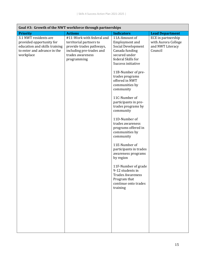| Goal #3: Growth of the NWT workforce through partnerships                                                                      |                                                                                                                                                 |                                                                                                                                                                                                                                                                                                                                                                                                                                                                                                                                                                                                                      |                                                                          |
|--------------------------------------------------------------------------------------------------------------------------------|-------------------------------------------------------------------------------------------------------------------------------------------------|----------------------------------------------------------------------------------------------------------------------------------------------------------------------------------------------------------------------------------------------------------------------------------------------------------------------------------------------------------------------------------------------------------------------------------------------------------------------------------------------------------------------------------------------------------------------------------------------------------------------|--------------------------------------------------------------------------|
| <b>Priority</b>                                                                                                                | <b>Actions</b>                                                                                                                                  | <b>Indicators</b>                                                                                                                                                                                                                                                                                                                                                                                                                                                                                                                                                                                                    | <b>Lead Department</b>                                                   |
| 3.1 NWT residents are<br>provided opportunity for<br>education and skills training<br>to enter and advance in the<br>workplace | #11-Work with federal and<br>territorial partners to<br>provide trades pathways,<br>including pre-trades and<br>trades awareness<br>programming | 11A-Amount of<br><b>Employment</b> and<br>Social Development<br>Canada funding<br>secured under<br>federal Skills for<br>Success initiative<br>11B-Number of pre-<br>trades programs<br>offered in NWT<br>communities by<br>community<br>11C-Number of<br>participants in pre-<br>trades programs by<br>community<br>11D-Number of<br>trades awareness<br>programs offered in<br>communities by<br>community<br>11E-Number of<br>participants in trades<br>awareness programs<br>by region<br>11F-Number of grade<br>9-12 students in<br><b>Trades Awareness</b><br>Program that<br>continue onto trades<br>training | ECE in partnership<br>with Aurora College<br>and NWT Literacy<br>Council |
|                                                                                                                                |                                                                                                                                                 |                                                                                                                                                                                                                                                                                                                                                                                                                                                                                                                                                                                                                      |                                                                          |
|                                                                                                                                |                                                                                                                                                 |                                                                                                                                                                                                                                                                                                                                                                                                                                                                                                                                                                                                                      |                                                                          |
|                                                                                                                                |                                                                                                                                                 |                                                                                                                                                                                                                                                                                                                                                                                                                                                                                                                                                                                                                      |                                                                          |
|                                                                                                                                |                                                                                                                                                 |                                                                                                                                                                                                                                                                                                                                                                                                                                                                                                                                                                                                                      |                                                                          |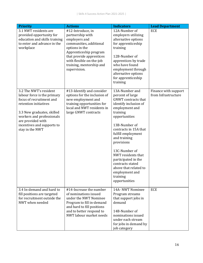| <b>Priority</b>                                                                                                                                                                                                                             | <b>Actions</b>                                                                                                                                                                                                                    | <b>Indicators</b>                                                                                                                                                                                                                                                                                                                                                                                | <b>Lead Department</b>                      |
|---------------------------------------------------------------------------------------------------------------------------------------------------------------------------------------------------------------------------------------------|-----------------------------------------------------------------------------------------------------------------------------------------------------------------------------------------------------------------------------------|--------------------------------------------------------------------------------------------------------------------------------------------------------------------------------------------------------------------------------------------------------------------------------------------------------------------------------------------------------------------------------------------------|---------------------------------------------|
| 3.1 NWT residents are<br>provided opportunity for<br>education and skills training<br>to enter and advance in the<br>workplace                                                                                                              | #12-Introduce, in<br>partnership with<br>employers and<br>communities, additional<br>options in the<br>Apprenticeship program<br>that provide apprentices<br>with flexible on-the-job<br>training, mentorship and<br>supervision. | 12A-Number of<br>employers utilizing<br>alternative options<br>for apprenticeship<br>training<br>12B-Number of<br>apprentices by trade<br>who have found<br>employment through<br>alternative options<br>for apprenticeship<br>training                                                                                                                                                          | <b>ECE</b>                                  |
| 3.2 The NWT's resident<br>labour force is the primary<br>focus of recruitment and<br>retention initiatives<br>3.3 New graduates, skilled<br>workers and professionals<br>are provided with<br>incentives and supports to<br>stay in the NWT | #13-Identify and consider<br>options for the inclusion of<br>new employment and<br>training opportunities for<br>local and NWT residents in<br>large GNWT contracts                                                               | 13A-Number and<br>percent of large<br><b>GNWT</b> contracts that<br>identify inclusion of<br>employment and<br>training<br>opportunities<br>13B-Number of<br>contracts in 15A that<br>fulfill employment<br>and training<br>provisions<br>13C-Number of<br>NWT residents that<br>participated in the<br>contracts stated<br>above that related to<br>employment and<br>training<br>opportunities | Finance with support<br>from Infrastructure |
| 3.4 In-demand and hard to<br>fill positions are targeted<br>for recruitment outside the<br>NWT when needed                                                                                                                                  | #14-Increase the number<br>of nominations issued<br>under the NWT Nominee<br>Program to fill in-demand<br>and hard to fill positions<br>and to better respond to<br>NWT labour market needs                                       | 14A- NWT Nominee<br>Program streams<br>that support jobs in<br>demand<br>14B-Number of<br>nominations issued<br>under each stream<br>for jobs in demand by<br>job category                                                                                                                                                                                                                       | <b>ECE</b>                                  |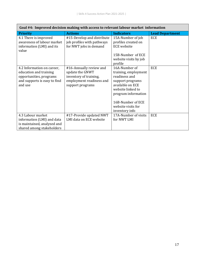| Goal #4: Improved decision making with access to relevant labour market information                                        |                                                                                                                      |                                                                                                                                                                                                         |                        |
|----------------------------------------------------------------------------------------------------------------------------|----------------------------------------------------------------------------------------------------------------------|---------------------------------------------------------------------------------------------------------------------------------------------------------------------------------------------------------|------------------------|
| <b>Priority</b>                                                                                                            | <b>Actions</b>                                                                                                       | <b>Indicators</b>                                                                                                                                                                                       | <b>Lead Department</b> |
| 4.1 There is improved<br>awareness of labour market<br>information (LMI) and its<br>value                                  | #15-Develop and distribute<br>job profiles with pathways<br>for NWT jobs in demand                                   | 15A-Number of job<br>profiles created on<br><b>ECE</b> website                                                                                                                                          | <b>ECE</b>             |
|                                                                                                                            |                                                                                                                      | 15B-Number of ECE<br>website visits by job<br>profile                                                                                                                                                   |                        |
| 4.2 Information on career,<br>education and training<br>opportunities, programs<br>and supports is easy to find<br>and use | #16-Annually review and<br>update the GNWT<br>inventory of training,<br>employment readiness and<br>support programs | 16A-Number of<br>training, employment<br>readiness and<br>support programs<br>available on ECE<br>website linked to<br>program information<br>16B-Number of ECE<br>website visits for<br>inventory info | <b>ECE</b>             |
| 4.3 Labour market<br>information (LMI) and data<br>is maintained, analyzed and<br>shared among stakeholders                | #17-Provide updated NWT<br>LMI data on ECE website                                                                   | 17A-Number of visits<br>for NWT LMI                                                                                                                                                                     | <b>ECE</b>             |